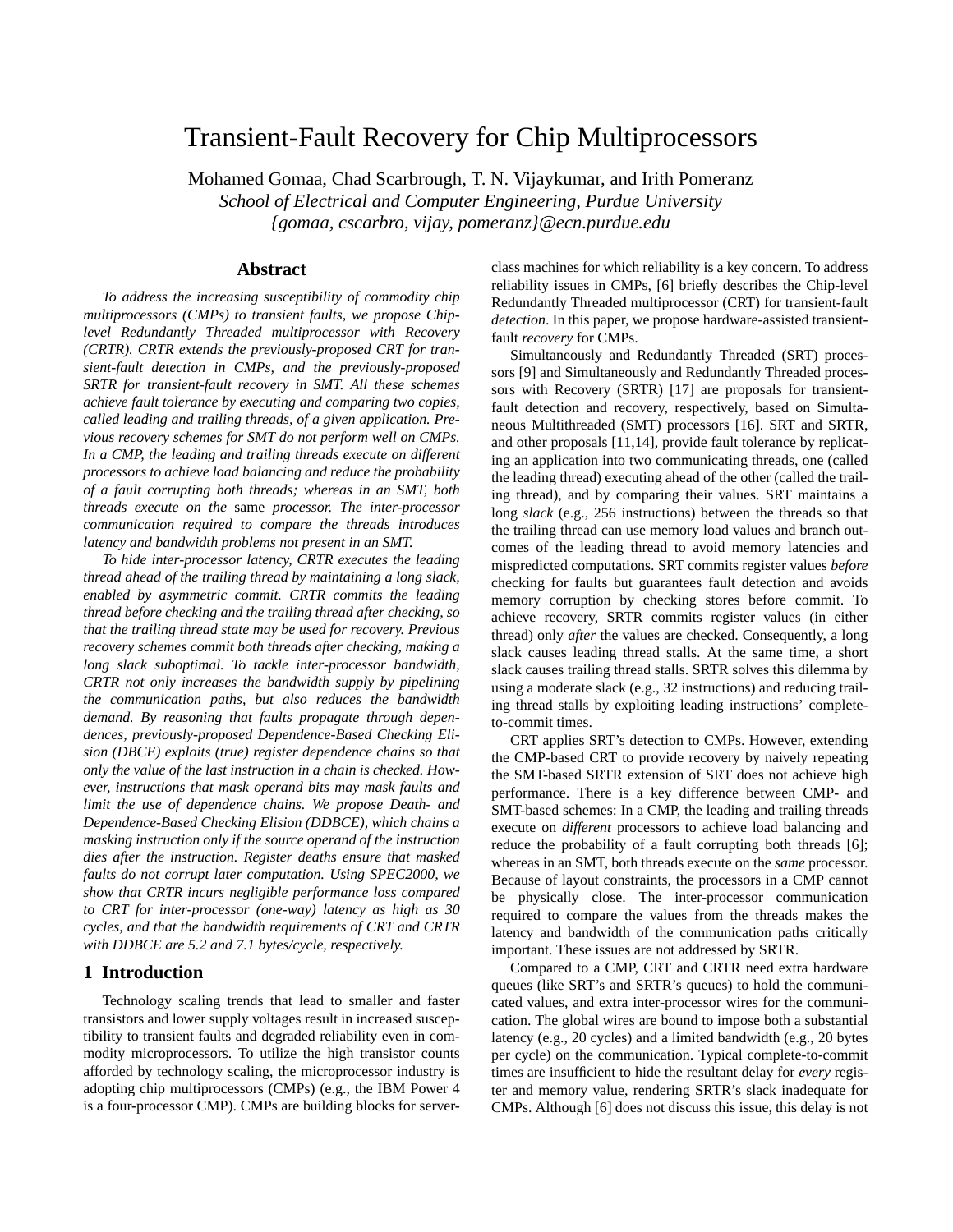# Transient-Fault Recovery for Chip Multiprocessors

Mohamed Gomaa, Chad Scarbrough, T. N. Vijaykumar, and Irith Pomeranz *School of Electrical and Computer Engineering, Purdue University {gomaa, cscarbro, vijay, pomeranz}@ecn.purdue.edu*

# **Abstract**

*To address the increasing susceptibility of commodity chip multiprocessors (CMPs) to transient faults, we propose Chiplevel Redundantly Threaded multiprocessor with Recovery (CRTR). CRTR extends the previously-proposed CRT for transient-fault detection in CMPs, and the previously-proposed SRTR for transient-fault recovery in SMT. All these schemes achieve fault tolerance by executing and comparing two copies, called leading and trailing threads, of a given application. Previous recovery schemes for SMT do not perform well on CMPs. In a CMP, the leading and trailing threads execute on different processors to achieve load balancing and reduce the probability of a fault corrupting both threads; whereas in an SMT, both threads execute on the* same *processor. The inter-processor communication required to compare the threads introduces latency and bandwidth problems not present in an SMT.*

*To hide inter-processor latency, CRTR executes the leading thread ahead of the trailing thread by maintaining a long slack, enabled by asymmetric commit. CRTR commits the leading thread before checking and the trailing thread after checking, so that the trailing thread state may be used for recovery. Previous recovery schemes commit both threads after checking, making a long slack suboptimal. To tackle inter-processor bandwidth, CRTR not only increases the bandwidth supply by pipelining the communication paths, but also reduces the bandwidth demand. By reasoning that faults propagate through dependences, previously-proposed Dependence-Based Checking Elision (DBCE) exploits (true) register dependence chains so that only the value of the last instruction in a chain is checked. However, instructions that mask operand bits may mask faults and limit the use of dependence chains. We propose Death- and Dependence-Based Checking Elision (DDBCE), which chains a masking instruction only if the source operand of the instruction dies after the instruction. Register deaths ensure that masked faults do not corrupt later computation. Using SPEC2000, we show that CRTR incurs negligible performance loss compared to CRT for inter-processor (one-way) latency as high as 30 cycles, and that the bandwidth requirements of CRT and CRTR with DDBCE are 5.2 and 7.1 bytes/cycle, respectively.*

# <span id="page-0-0"></span>**1 Introduction**

Technology scaling trends that lead to smaller and faster transistors and lower supply voltages result in increased susceptibility to transient faults and degraded reliability even in commodity microprocessors. To utilize the high transistor counts afforded by technology scaling, the microprocessor industry is adopting chip multiprocessors (CMPs) (e.g., the IBM Power 4 is a four-processor CMP). CMPs are building blocks for serverclass machines for which reliability is a key concern. To address reliability issues in CMPs, [6] briefly describes the Chip-level Redundantly Threaded multiprocessor (CRT) for transient-fault *detection*. In this paper, we propose hardware-assisted transientfault *recovery* for CMPs.

Simultaneously and Redundantly Threaded (SRT) processors [9] and Simultaneously and Redundantly Threaded processors with Recovery (SRTR) [17] are proposals for transientfault detection and recovery, respectively, based on Simultaneous Multithreaded (SMT) processors [16]. SRT and SRTR, and other proposals [11,14], provide fault tolerance by replicating an application into two communicating threads, one (called the leading thread) executing ahead of the other (called the trailing thread), and by comparing their values. SRT maintains a long *slack* (e.g., 256 instructions) between the threads so that the trailing thread can use memory load values and branch outcomes of the leading thread to avoid memory latencies and mispredicted computations. SRT commits register values *before* checking for faults but guarantees fault detection and avoids memory corruption by checking stores before commit. To achieve recovery, SRTR commits register values (in either thread) only *after* the values are checked. Consequently, a long slack causes leading thread stalls. At the same time, a short slack causes trailing thread stalls. SRTR solves this dilemma by using a moderate slack (e.g., 32 instructions) and reducing trailing thread stalls by exploiting leading instructions' completeto-commit times.

CRT applies SRT's detection to CMPs. However, extending the CMP-based CRT to provide recovery by naively repeating the SMT-based SRTR extension of SRT does not achieve high performance. There is a key difference between CMP- and SMT-based schemes: In a CMP, the leading and trailing threads execute on *different* processors to achieve load balancing and reduce the probability of a fault corrupting both threads [6]; whereas in an SMT, both threads execute on the *same* processor. Because of layout constraints, the processors in a CMP cannot be physically close. The inter-processor communication required to compare the values from the threads makes the latency and bandwidth of the communication paths critically important. These issues are not addressed by SRTR.

Compared to a CMP, CRT and CRTR need extra hardware queues (like SRT's and SRTR's queues) to hold the communicated values, and extra inter-processor wires for the communication. The global wires are bound to impose both a substantial latency (e.g., 20 cycles) and a limited bandwidth (e.g., 20 bytes per cycle) on the communication. Typical complete-to-commit times are insufficient to hide the resultant delay for *every* register and memory value, rendering SRTR's slack inadequate for CMPs. Although [6] does not discuss this issue, this delay is not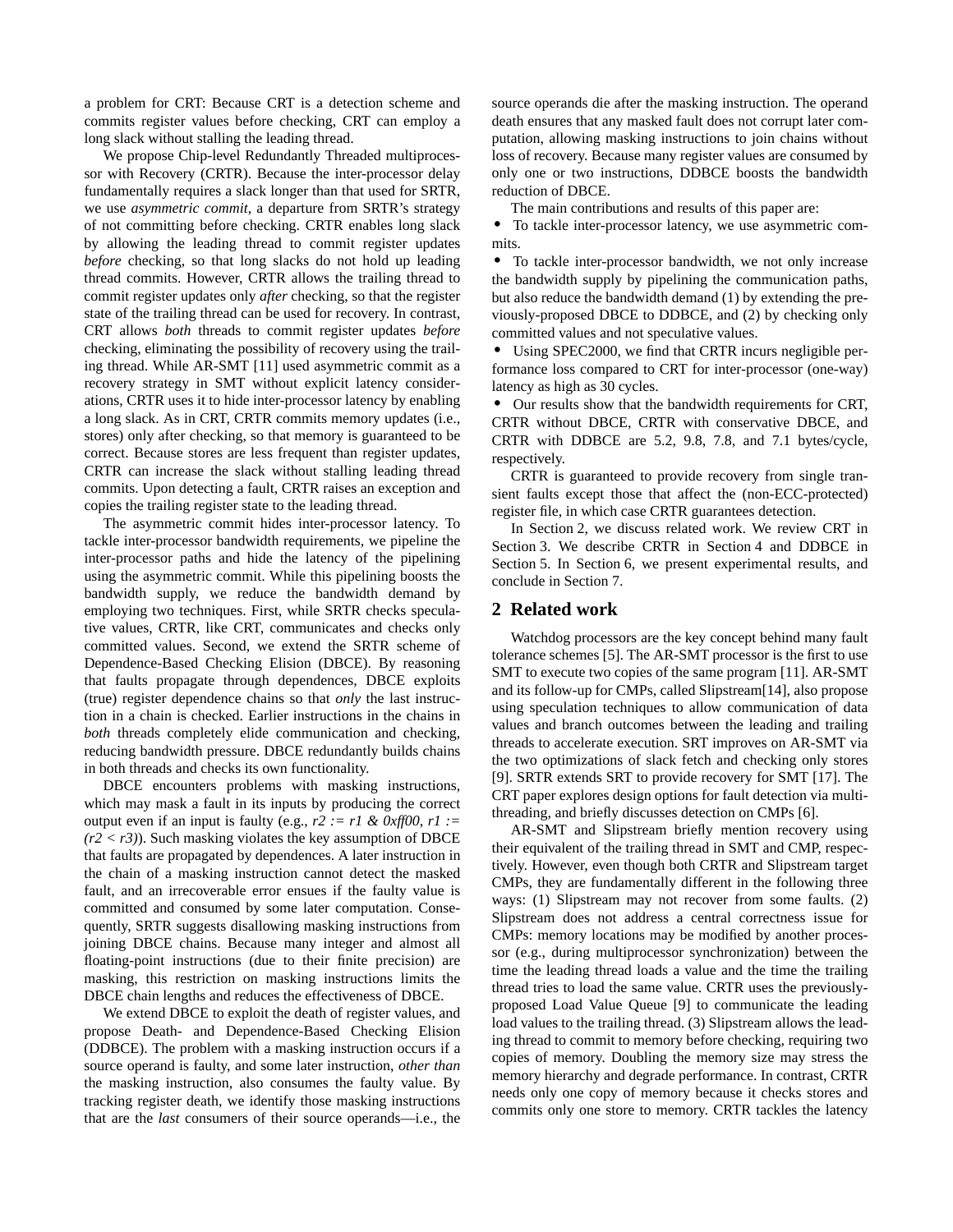a problem for CRT: Because CRT is a detection scheme and commits register values before checking, CRT can employ a long slack without stalling the leading thread.

We propose Chip-level Redundantly Threaded multiprocessor with Recovery (CRTR). Because the inter-processor delay fundamentally requires a slack longer than that used for SRTR, we use *asymmetric commit*, a departure from SRTR's strategy of not committing before checking. CRTR enables long slack by allowing the leading thread to commit register updates *before* checking, so that long slacks do not hold up leading thread commits. However, CRTR allows the trailing thread to commit register updates only *after* checking, so that the register state of the trailing thread can be used for recovery. In contrast, CRT allows *both* threads to commit register updates *before* checking, eliminating the possibility of recovery using the trailing thread. While AR-SMT [11] used asymmetric commit as a recovery strategy in SMT without explicit latency considerations, CRTR uses it to hide inter-processor latency by enabling a long slack. As in CRT, CRTR commits memory updates (i.e., stores) only after checking, so that memory is guaranteed to be correct. Because stores are less frequent than register updates, CRTR can increase the slack without stalling leading thread commits. Upon detecting a fault, CRTR raises an exception and copies the trailing register state to the leading thread.

The asymmetric commit hides inter-processor latency. To tackle inter-processor bandwidth requirements, we pipeline the inter-processor paths and hide the latency of the pipelining using the asymmetric commit. While this pipelining boosts the bandwidth supply, we reduce the bandwidth demand by employing two techniques. First, while SRTR checks speculative values, CRTR, like CRT, communicates and checks only committed values. Second, we extend the SRTR scheme of Dependence-Based Checking Elision (DBCE). By reasoning that faults propagate through dependences, DBCE exploits (true) register dependence chains so that *only* the last instruction in a chain is checked. Earlier instructions in the chains in *both* threads completely elide communication and checking, reducing bandwidth pressure. DBCE redundantly builds chains in both threads and checks its own functionality.

DBCE encounters problems with masking instructions, which may mask a fault in its inputs by producing the correct output even if an input is faulty (e.g.,  $r2 := r1 \& 0 \times r \cdot 0$ ),  $r1 :=$  $(r2 < r3)$ ). Such masking violates the key assumption of DBCE that faults are propagated by dependences. A later instruction in the chain of a masking instruction cannot detect the masked fault, and an irrecoverable error ensues if the faulty value is committed and consumed by some later computation. Consequently, SRTR suggests disallowing masking instructions from joining DBCE chains. Because many integer and almost all floating-point instructions (due to their finite precision) are masking, this restriction on masking instructions limits the DBCE chain lengths and reduces the effectiveness of DBCE.

We extend DBCE to exploit the death of register values, and propose Death- and Dependence-Based Checking Elision (DDBCE). The problem with a masking instruction occurs if a source operand is faulty, and some later instruction, *other than* the masking instruction, also consumes the faulty value. By tracking register death, we identify those masking instructions that are the *last* consumers of their source operands—i.e., the source operands die after the masking instruction. The operand death ensures that any masked fault does not corrupt later computation, allowing masking instructions to join chains without loss of recovery. Because many register values are consumed by only one or two instructions, DDBCE boosts the bandwidth reduction of DBCE.

The main contributions and results of this paper are:

**•** To tackle inter-processor latency, we use asymmetric commits.

**•** To tackle inter-processor bandwidth, we not only increase the bandwidth supply by pipelining the communication paths, but also reduce the bandwidth demand (1) by extending the previously-proposed DBCE to DDBCE, and (2) by checking only committed values and not speculative values.

**•** Using SPEC2000, we find that CRTR incurs negligible performance loss compared to CRT for inter-processor (one-way) latency as high as 30 cycles.

**•** Our results show that the bandwidth requirements for CRT, CRTR without DBCE, CRTR with conservative DBCE, and CRTR with DDBCE are 5.2, 9.8, 7.8, and 7.1 bytes/cycle, respectively.

CRTR is guaranteed to provide recovery from single transient faults except those that affect the (non-ECC-protected) register file, in which case CRTR guarantees detection.

In [Section 2,](#page-1-0) we discuss related work. We review CRT in [Section 3.](#page-2-0) We describe CRTR in [Section 4](#page-3-0) and DDBCE in [Section 5.](#page-5-0) In [Section 6,](#page-7-0) we present experimental results, and conclude in [Section 7](#page-11-0).

# <span id="page-1-0"></span>**2 Related work**

Watchdog processors are the key concept behind many fault tolerance schemes [5]. The AR-SMT processor is the first to use SMT to execute two copies of the same program [11]. AR-SMT and its follow-up for CMPs, called Slipstream[14], also propose using speculation techniques to allow communication of data values and branch outcomes between the leading and trailing threads to accelerate execution. SRT improves on AR-SMT via the two optimizations of slack fetch and checking only stores [9]. SRTR extends SRT to provide recovery for SMT [17]. The CRT paper explores design options for fault detection via multithreading, and briefly discusses detection on CMPs [6].

AR-SMT and Slipstream briefly mention recovery using their equivalent of the trailing thread in SMT and CMP, respectively. However, even though both CRTR and Slipstream target CMPs, they are fundamentally different in the following three ways: (1) Slipstream may not recover from some faults. (2) Slipstream does not address a central correctness issue for CMPs: memory locations may be modified by another processor (e.g., during multiprocessor synchronization) between the time the leading thread loads a value and the time the trailing thread tries to load the same value. CRTR uses the previouslyproposed Load Value Queue [9] to communicate the leading load values to the trailing thread. (3) Slipstream allows the leading thread to commit to memory before checking, requiring two copies of memory. Doubling the memory size may stress the memory hierarchy and degrade performance. In contrast, CRTR needs only one copy of memory because it checks stores and commits only one store to memory. CRTR tackles the latency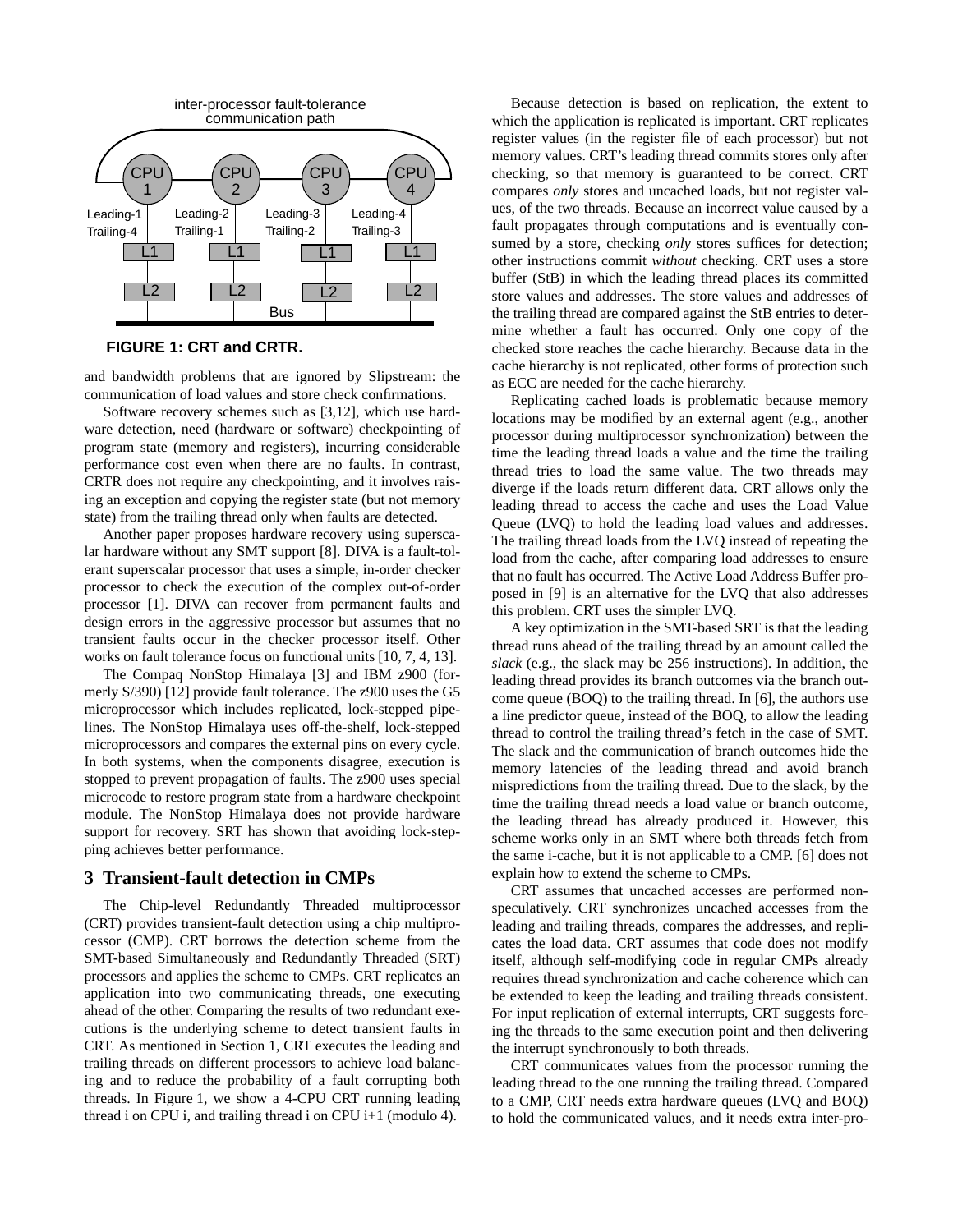

<span id="page-2-1"></span>**FIGURE 1: CRT and CRTR.**

and bandwidth problems that are ignored by Slipstream: the communication of load values and store check confirmations.

Software recovery schemes such as [3,12], which use hardware detection, need (hardware or software) checkpointing of program state (memory and registers), incurring considerable performance cost even when there are no faults. In contrast, CRTR does not require any checkpointing, and it involves raising an exception and copying the register state (but not memory state) from the trailing thread only when faults are detected.

Another paper proposes hardware recovery using superscalar hardware without any SMT support [8]. DIVA is a fault-tolerant superscalar processor that uses a simple, in-order checker processor to check the execution of the complex out-of-order processor [1]. DIVA can recover from permanent faults and design errors in the aggressive processor but assumes that no transient faults occur in the checker processor itself. Other works on fault tolerance focus on functional units [10, 7, 4, 13].

The Compaq NonStop Himalaya [3] and IBM z900 (formerly S/390) [12] provide fault tolerance. The z900 uses the G5 microprocessor which includes replicated, lock-stepped pipelines. The NonStop Himalaya uses off-the-shelf, lock-stepped microprocessors and compares the external pins on every cycle. In both systems, when the components disagree, execution is stopped to prevent propagation of faults. The z900 uses special microcode to restore program state from a hardware checkpoint module. The NonStop Himalaya does not provide hardware support for recovery. SRT has shown that avoiding lock-stepping achieves better performance.

#### <span id="page-2-0"></span>**3 Transient-fault detection in CMPs**

The Chip-level Redundantly Threaded multiprocessor (CRT) provides transient-fault detection using a chip multiprocessor (CMP). CRT borrows the detection scheme from the SMT-based Simultaneously and Redundantly Threaded (SRT) processors and applies the scheme to CMPs. CRT replicates an application into two communicating threads, one executing ahead of the other. Comparing the results of two redundant executions is the underlying scheme to detect transient faults in CRT. As mentioned in [Section 1](#page-0-0), CRT executes the leading and trailing threads on different processors to achieve load balancing and to reduce the probability of a fault corrupting both threads. In [Figure 1](#page-2-1), we show a 4-CPU CRT running leading thread i on CPU i, and trailing thread i on CPU i+1 (modulo 4).

Because detection is based on replication, the extent to which the application is replicated is important. CRT replicates register values (in the register file of each processor) but not memory values. CRT's leading thread commits stores only after checking, so that memory is guaranteed to be correct. CRT compares *only* stores and uncached loads, but not register values, of the two threads. Because an incorrect value caused by a fault propagates through computations and is eventually consumed by a store, checking *only* stores suffices for detection; other instructions commit *without* checking. CRT uses a store buffer (StB) in which the leading thread places its committed store values and addresses. The store values and addresses of the trailing thread are compared against the StB entries to determine whether a fault has occurred. Only one copy of the checked store reaches the cache hierarchy. Because data in the cache hierarchy is not replicated, other forms of protection such as ECC are needed for the cache hierarchy.

Replicating cached loads is problematic because memory locations may be modified by an external agent (e.g., another processor during multiprocessor synchronization) between the time the leading thread loads a value and the time the trailing thread tries to load the same value. The two threads may diverge if the loads return different data. CRT allows only the leading thread to access the cache and uses the Load Value Queue (LVQ) to hold the leading load values and addresses. The trailing thread loads from the LVQ instead of repeating the load from the cache, after comparing load addresses to ensure that no fault has occurred. The Active Load Address Buffer proposed in [9] is an alternative for the LVQ that also addresses this problem. CRT uses the simpler LVQ.

A key optimization in the SMT-based SRT is that the leading thread runs ahead of the trailing thread by an amount called the *slack* (e.g., the slack may be 256 instructions). In addition, the leading thread provides its branch outcomes via the branch outcome queue (BOQ) to the trailing thread. In [6], the authors use a line predictor queue, instead of the BOQ, to allow the leading thread to control the trailing thread's fetch in the case of SMT. The slack and the communication of branch outcomes hide the memory latencies of the leading thread and avoid branch mispredictions from the trailing thread. Due to the slack, by the time the trailing thread needs a load value or branch outcome, the leading thread has already produced it. However, this scheme works only in an SMT where both threads fetch from the same i-cache, but it is not applicable to a CMP. [6] does not explain how to extend the scheme to CMPs.

CRT assumes that uncached accesses are performed nonspeculatively. CRT synchronizes uncached accesses from the leading and trailing threads, compares the addresses, and replicates the load data. CRT assumes that code does not modify itself, although self-modifying code in regular CMPs already requires thread synchronization and cache coherence which can be extended to keep the leading and trailing threads consistent. For input replication of external interrupts, CRT suggests forcing the threads to the same execution point and then delivering the interrupt synchronously to both threads.

CRT communicates values from the processor running the leading thread to the one running the trailing thread. Compared to a CMP, CRT needs extra hardware queues (LVQ and BOQ) to hold the communicated values, and it needs extra inter-pro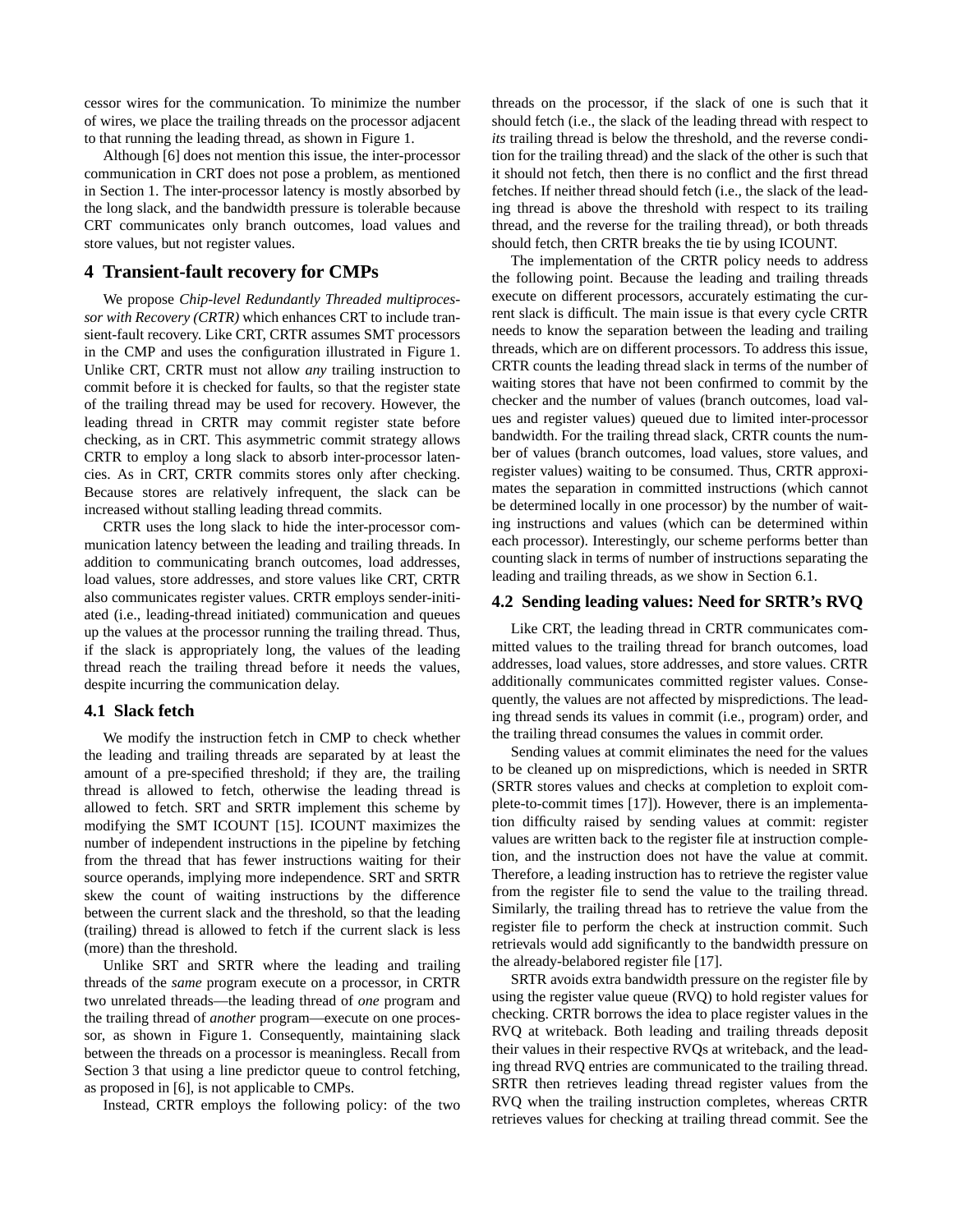cessor wires for the communication. To minimize the number of wires, we place the trailing threads on the processor adjacent to that running the leading thread, as shown in [Figure 1](#page-2-1).

Although [6] does not mention this issue, the inter-processor communication in CRT does not pose a problem, as mentioned in [Section 1.](#page-0-0) The inter-processor latency is mostly absorbed by the long slack, and the bandwidth pressure is tolerable because CRT communicates only branch outcomes, load values and store values, but not register values.

# <span id="page-3-0"></span>**4 Transient-fault recovery for CMPs**

We propose *Chip-level Redundantly Threaded multiprocessor with Recovery (CRTR)* which enhances CRT to include transient-fault recovery. Like CRT, CRTR assumes SMT processors in the CMP and uses the configuration illustrated in [Figure 1.](#page-2-1) Unlike CRT, CRTR must not allow *any* trailing instruction to commit before it is checked for faults, so that the register state of the trailing thread may be used for recovery. However, the leading thread in CRTR may commit register state before checking, as in CRT. This asymmetric commit strategy allows CRTR to employ a long slack to absorb inter-processor latencies. As in CRT, CRTR commits stores only after checking. Because stores are relatively infrequent, the slack can be increased without stalling leading thread commits.

CRTR uses the long slack to hide the inter-processor communication latency between the leading and trailing threads. In addition to communicating branch outcomes, load addresses, load values, store addresses, and store values like CRT, CRTR also communicates register values. CRTR employs sender-initiated (i.e., leading-thread initiated) communication and queues up the values at the processor running the trailing thread. Thus, if the slack is appropriately long, the values of the leading thread reach the trailing thread before it needs the values, despite incurring the communication delay.

# <span id="page-3-1"></span>**4.1 Slack fetch**

We modify the instruction fetch in CMP to check whether the leading and trailing threads are separated by at least the amount of a pre-specified threshold; if they are, the trailing thread is allowed to fetch, otherwise the leading thread is allowed to fetch. SRT and SRTR implement this scheme by modifying the SMT ICOUNT [15]. ICOUNT maximizes the number of independent instructions in the pipeline by fetching from the thread that has fewer instructions waiting for their source operands, implying more independence. SRT and SRTR skew the count of waiting instructions by the difference between the current slack and the threshold, so that the leading (trailing) thread is allowed to fetch if the current slack is less (more) than the threshold.

Unlike SRT and SRTR where the leading and trailing threads of the *same* program execute on a processor, in CRTR two unrelated threads—the leading thread of *one* program and the trailing thread of *another* program—execute on one processor, as shown in [Figure 1.](#page-2-1) Consequently, maintaining slack between the threads on a processor is meaningless. Recall from [Section 3](#page-2-0) that using a line predictor queue to control fetching, as proposed in [6], is not applicable to CMPs.

Instead, CRTR employs the following policy: of the two

threads on the processor, if the slack of one is such that it should fetch (i.e., the slack of the leading thread with respect to *its* trailing thread is below the threshold, and the reverse condition for the trailing thread) and the slack of the other is such that it should not fetch, then there is no conflict and the first thread fetches. If neither thread should fetch (i.e., the slack of the leading thread is above the threshold with respect to its trailing thread, and the reverse for the trailing thread), or both threads should fetch, then CRTR breaks the tie by using ICOUNT.

The implementation of the CRTR policy needs to address the following point. Because the leading and trailing threads execute on different processors, accurately estimating the current slack is difficult. The main issue is that every cycle CRTR needs to know the separation between the leading and trailing threads, which are on different processors. To address this issue, CRTR counts the leading thread slack in terms of the number of waiting stores that have not been confirmed to commit by the checker and the number of values (branch outcomes, load values and register values) queued due to limited inter-processor bandwidth. For the trailing thread slack, CRTR counts the number of values (branch outcomes, load values, store values, and register values) waiting to be consumed. Thus, CRTR approximates the separation in committed instructions (which cannot be determined locally in one processor) by the number of waiting instructions and values (which can be determined within each processor). Interestingly, our scheme performs better than counting slack in terms of number of instructions separating the leading and trailing threads, as we show in [Section 6.1.](#page-8-0)

#### **4.2 Sending leading values: Need for SRTR's RVQ**

Like CRT, the leading thread in CRTR communicates committed values to the trailing thread for branch outcomes, load addresses, load values, store addresses, and store values. CRTR additionally communicates committed register values. Consequently, the values are not affected by mispredictions. The leading thread sends its values in commit (i.e., program) order, and the trailing thread consumes the values in commit order.

Sending values at commit eliminates the need for the values to be cleaned up on mispredictions, which is needed in SRTR (SRTR stores values and checks at completion to exploit complete-to-commit times [17]). However, there is an implementation difficulty raised by sending values at commit: register values are written back to the register file at instruction completion, and the instruction does not have the value at commit. Therefore, a leading instruction has to retrieve the register value from the register file to send the value to the trailing thread. Similarly, the trailing thread has to retrieve the value from the register file to perform the check at instruction commit. Such retrievals would add significantly to the bandwidth pressure on the already-belabored register file [17].

SRTR avoids extra bandwidth pressure on the register file by using the register value queue (RVQ) to hold register values for checking. CRTR borrows the idea to place register values in the RVQ at writeback. Both leading and trailing threads deposit their values in their respective RVQs at writeback, and the leading thread RVQ entries are communicated to the trailing thread. SRTR then retrieves leading thread register values from the RVQ when the trailing instruction completes, whereas CRTR retrieves values for checking at trailing thread commit. See the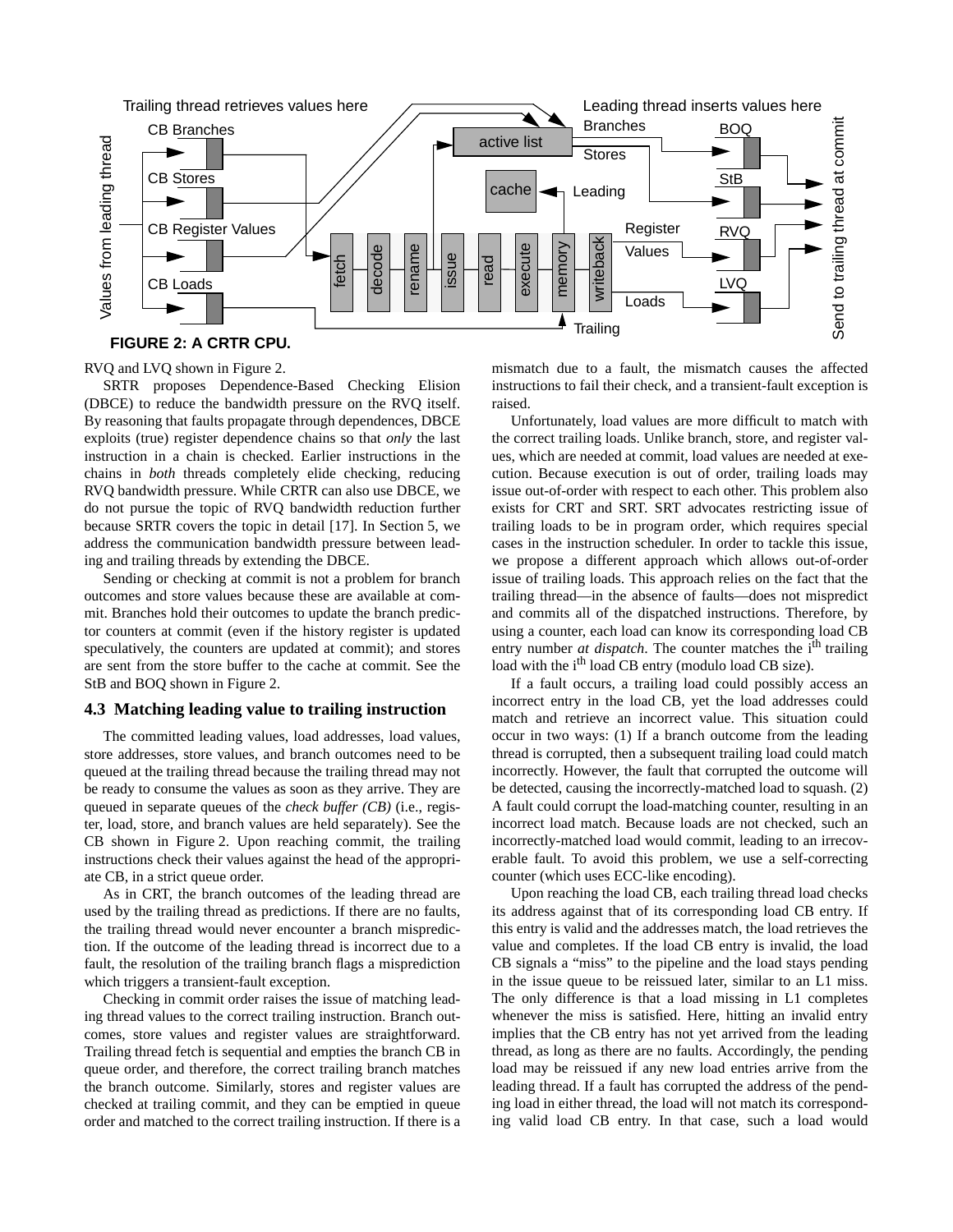

<span id="page-4-0"></span>RVQ and LVQ shown in [Figure 2](#page-4-0).

SRTR proposes Dependence-Based Checking Elision (DBCE) to reduce the bandwidth pressure on the RVQ itself. By reasoning that faults propagate through dependences, DBCE exploits (true) register dependence chains so that *only* the last instruction in a chain is checked. Earlier instructions in the chains in *both* threads completely elide checking, reducing RVQ bandwidth pressure. While CRTR can also use DBCE, we do not pursue the topic of RVQ bandwidth reduction further because SRTR covers the topic in detail [17]. In [Section 5](#page-5-0), we address the communication bandwidth pressure between leading and trailing threads by extending the DBCE.

Sending or checking at commit is not a problem for branch outcomes and store values because these are available at commit. Branches hold their outcomes to update the branch predictor counters at commit (even if the history register is updated speculatively, the counters are updated at commit); and stores are sent from the store buffer to the cache at commit. See the StB and BOQ shown in [Figure 2.](#page-4-0)

# **4.3 Matching leading value to trailing instruction**

The committed leading values, load addresses, load values, store addresses, store values, and branch outcomes need to be queued at the trailing thread because the trailing thread may not be ready to consume the values as soon as they arrive. They are queued in separate queues of the *check buffer (CB)* (i.e., register, load, store, and branch values are held separately). See the CB shown in [Figure 2](#page-4-0). Upon reaching commit, the trailing instructions check their values against the head of the appropriate CB, in a strict queue order.

As in CRT, the branch outcomes of the leading thread are used by the trailing thread as predictions. If there are no faults, the trailing thread would never encounter a branch misprediction. If the outcome of the leading thread is incorrect due to a fault, the resolution of the trailing branch flags a misprediction which triggers a transient-fault exception.

Checking in commit order raises the issue of matching leading thread values to the correct trailing instruction. Branch outcomes, store values and register values are straightforward. Trailing thread fetch is sequential and empties the branch CB in queue order, and therefore, the correct trailing branch matches the branch outcome. Similarly, stores and register values are checked at trailing commit, and they can be emptied in queue order and matched to the correct trailing instruction. If there is a mismatch due to a fault, the mismatch causes the affected instructions to fail their check, and a transient-fault exception is raised.

Unfortunately, load values are more difficult to match with the correct trailing loads. Unlike branch, store, and register values, which are needed at commit, load values are needed at execution. Because execution is out of order, trailing loads may issue out-of-order with respect to each other. This problem also exists for CRT and SRT. SRT advocates restricting issue of trailing loads to be in program order, which requires special cases in the instruction scheduler. In order to tackle this issue, we propose a different approach which allows out-of-order issue of trailing loads. This approach relies on the fact that the trailing thread—in the absence of faults—does not mispredict and commits all of the dispatched instructions. Therefore, by using a counter, each load can know its corresponding load CB entry number *at dispatch*. The counter matches the i<sup>th</sup> trailing load with the i<sup>th</sup> load CB entry (modulo load CB size).

If a fault occurs, a trailing load could possibly access an incorrect entry in the load CB, yet the load addresses could match and retrieve an incorrect value. This situation could occur in two ways: (1) If a branch outcome from the leading thread is corrupted, then a subsequent trailing load could match incorrectly. However, the fault that corrupted the outcome will be detected, causing the incorrectly-matched load to squash. (2) A fault could corrupt the load-matching counter, resulting in an incorrect load match. Because loads are not checked, such an incorrectly-matched load would commit, leading to an irrecoverable fault. To avoid this problem, we use a self-correcting counter (which uses ECC-like encoding).

Upon reaching the load CB, each trailing thread load checks its address against that of its corresponding load CB entry. If this entry is valid and the addresses match, the load retrieves the value and completes. If the load CB entry is invalid, the load CB signals a "miss" to the pipeline and the load stays pending in the issue queue to be reissued later, similar to an L1 miss. The only difference is that a load missing in L1 completes whenever the miss is satisfied. Here, hitting an invalid entry implies that the CB entry has not yet arrived from the leading thread, as long as there are no faults. Accordingly, the pending load may be reissued if any new load entries arrive from the leading thread. If a fault has corrupted the address of the pending load in either thread, the load will not match its corresponding valid load CB entry. In that case, such a load would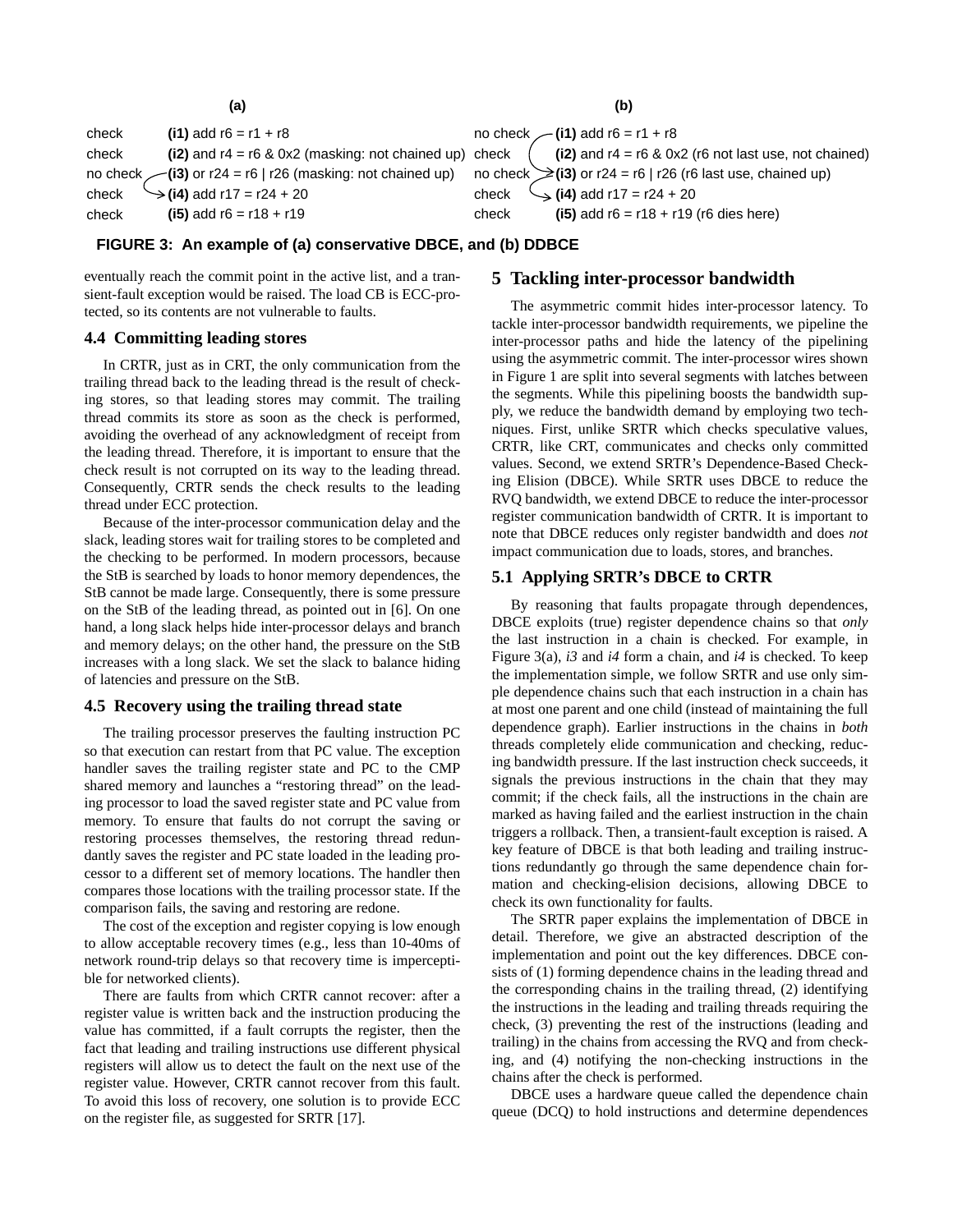$(i1)$  add  $r6 = r1 + r8$ **(i2)** and r4 = r6 & 0x2 (masking: not chained up) check  $r(i3)$  or  $r24 = r6$  |  $r26$  (masking: not chained up) **(i4)** add r17 = r24 + 20 check check no check check check **(i5)** add r6 = r18 + r19 check **(i5)** add r6 = r18 + r19 (r6 dies here)

#### <span id="page-5-1"></span>**FIGURE 3: An example of (a) conservative DBCE, and (b) DDBCE**

eventually reach the commit point in the active list, and a transient-fault exception would be raised. The load CB is ECC-protected, so its contents are not vulnerable to faults.

#### <span id="page-5-3"></span>**4.4 Committing leading stores**

In CRTR, just as in CRT, the only communication from the trailing thread back to the leading thread is the result of checking stores, so that leading stores may commit. The trailing thread commits its store as soon as the check is performed, avoiding the overhead of any acknowledgment of receipt from the leading thread. Therefore, it is important to ensure that the check result is not corrupted on its way to the leading thread. Consequently, CRTR sends the check results to the leading thread under ECC protection.

Because of the inter-processor communication delay and the slack, leading stores wait for trailing stores to be completed and the checking to be performed. In modern processors, because the StB is searched by loads to honor memory dependences, the StB cannot be made large. Consequently, there is some pressure on the StB of the leading thread, as pointed out in [6]. On one hand, a long slack helps hide inter-processor delays and branch and memory delays; on the other hand, the pressure on the StB increases with a long slack. We set the slack to balance hiding of latencies and pressure on the StB.

#### **4.5 Recovery using the trailing thread state**

The trailing processor preserves the faulting instruction PC so that execution can restart from that PC value. The exception handler saves the trailing register state and PC to the CMP shared memory and launches a "restoring thread" on the leading processor to load the saved register state and PC value from memory. To ensure that faults do not corrupt the saving or restoring processes themselves, the restoring thread redundantly saves the register and PC state loaded in the leading processor to a different set of memory locations. The handler then compares those locations with the trailing processor state. If the comparison fails, the saving and restoring are redone.

The cost of the exception and register copying is low enough to allow acceptable recovery times (e.g., less than 10-40ms of network round-trip delays so that recovery time is imperceptible for networked clients).

There are faults from which CRTR cannot recover: after a register value is written back and the instruction producing the value has committed, if a fault corrupts the register, then the fact that leading and trailing instructions use different physical registers will allow us to detect the fault on the next use of the register value. However, CRTR cannot recover from this fault. To avoid this loss of recovery, one solution is to provide ECC on the register file, as suggested for SRTR [17].

**(a) (b)**

 $f(1)$  add  $r6 = r1 + r8$ no check

 $(i2)$  and  $r4 = r6$  &  $0x2$  (r6 not last use, not chained)  $\geq$  (i3) or r24 = r6 | r26 (r6 last use, chained up)  $\rightarrow$  (**i4**) add r17 = r24 + 20 no check check

#### <span id="page-5-0"></span>**5 Tackling inter-processor bandwidth**

The asymmetric commit hides inter-processor latency. To tackle inter-processor bandwidth requirements, we pipeline the inter-processor paths and hide the latency of the pipelining using the asymmetric commit. The inter-processor wires shown in [Figure 1](#page-2-1) are split into several segments with latches between the segments. While this pipelining boosts the bandwidth supply, we reduce the bandwidth demand by employing two techniques. First, unlike SRTR which checks speculative values, CRTR, like CRT, communicates and checks only committed values. Second, we extend SRTR's Dependence-Based Checking Elision (DBCE). While SRTR uses DBCE to reduce the RVQ bandwidth, we extend DBCE to reduce the inter-processor register communication bandwidth of CRTR. It is important to note that DBCE reduces only register bandwidth and does *not* impact communication due to loads, stores, and branches.

#### <span id="page-5-2"></span>**5.1 Applying SRTR's DBCE to CRTR**

By reasoning that faults propagate through dependences, DBCE exploits (true) register dependence chains so that *only* the last instruction in a chain is checked. For example, in [Figure 3](#page-5-1)(a), *i3* and *i4* form a chain, and *i4* is checked. To keep the implementation simple, we follow SRTR and use only simple dependence chains such that each instruction in a chain has at most one parent and one child (instead of maintaining the full dependence graph). Earlier instructions in the chains in *both* threads completely elide communication and checking, reducing bandwidth pressure. If the last instruction check succeeds, it signals the previous instructions in the chain that they may commit; if the check fails, all the instructions in the chain are marked as having failed and the earliest instruction in the chain triggers a rollback. Then, a transient-fault exception is raised. A key feature of DBCE is that both leading and trailing instructions redundantly go through the same dependence chain formation and checking-elision decisions, allowing DBCE to check its own functionality for faults.

The SRTR paper explains the implementation of DBCE in detail. Therefore, we give an abstracted description of the implementation and point out the key differences. DBCE consists of (1) forming dependence chains in the leading thread and the corresponding chains in the trailing thread, (2) identifying the instructions in the leading and trailing threads requiring the check, (3) preventing the rest of the instructions (leading and trailing) in the chains from accessing the RVQ and from checking, and (4) notifying the non-checking instructions in the chains after the check is performed.

DBCE uses a hardware queue called the dependence chain queue (DCQ) to hold instructions and determine dependences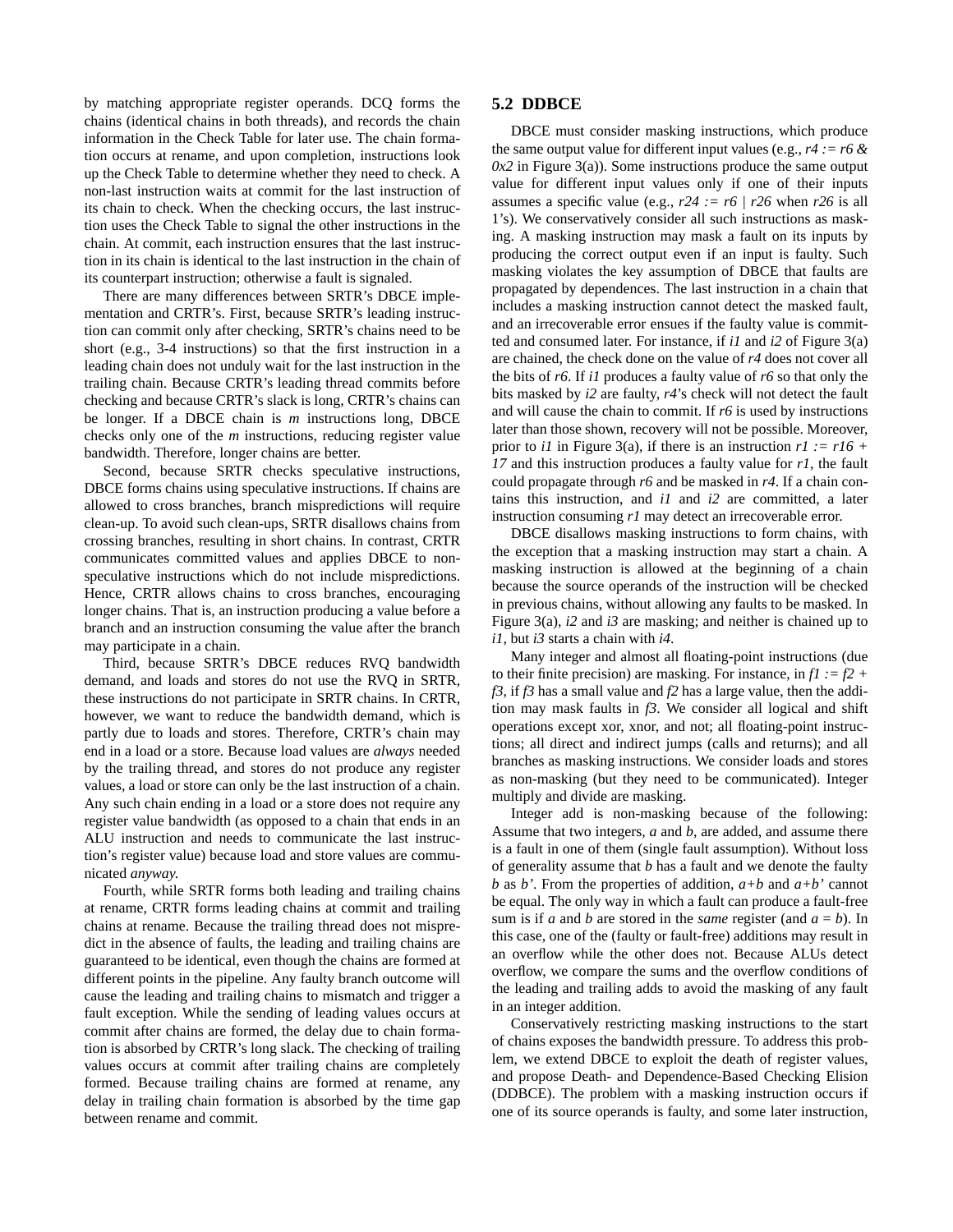by matching appropriate register operands. DCQ forms the chains (identical chains in both threads), and records the chain information in the Check Table for later use. The chain formation occurs at rename, and upon completion, instructions look up the Check Table to determine whether they need to check. A non-last instruction waits at commit for the last instruction of its chain to check. When the checking occurs, the last instruction uses the Check Table to signal the other instructions in the chain. At commit, each instruction ensures that the last instruction in its chain is identical to the last instruction in the chain of its counterpart instruction; otherwise a fault is signaled.

There are many differences between SRTR's DBCE implementation and CRTR's. First, because SRTR's leading instruction can commit only after checking, SRTR's chains need to be short (e.g., 3-4 instructions) so that the first instruction in a leading chain does not unduly wait for the last instruction in the trailing chain. Because CRTR's leading thread commits before checking and because CRTR's slack is long, CRTR's chains can be longer. If a DBCE chain is *m* instructions long, DBCE checks only one of the *m* instructions, reducing register value bandwidth. Therefore, longer chains are better.

Second, because SRTR checks speculative instructions, DBCE forms chains using speculative instructions. If chains are allowed to cross branches, branch mispredictions will require clean-up. To avoid such clean-ups, SRTR disallows chains from crossing branches, resulting in short chains. In contrast, CRTR communicates committed values and applies DBCE to nonspeculative instructions which do not include mispredictions. Hence, CRTR allows chains to cross branches, encouraging longer chains. That is, an instruction producing a value before a branch and an instruction consuming the value after the branch may participate in a chain.

Third, because SRTR's DBCE reduces RVQ bandwidth demand, and loads and stores do not use the RVQ in SRTR, these instructions do not participate in SRTR chains. In CRTR, however, we want to reduce the bandwidth demand, which is partly due to loads and stores. Therefore, CRTR's chain may end in a load or a store. Because load values are *always* needed by the trailing thread, and stores do not produce any register values, a load or store can only be the last instruction of a chain. Any such chain ending in a load or a store does not require any register value bandwidth (as opposed to a chain that ends in an ALU instruction and needs to communicate the last instruction's register value) because load and store values are communicated *anyway*.

Fourth, while SRTR forms both leading and trailing chains at rename, CRTR forms leading chains at commit and trailing chains at rename. Because the trailing thread does not mispredict in the absence of faults, the leading and trailing chains are guaranteed to be identical, even though the chains are formed at different points in the pipeline. Any faulty branch outcome will cause the leading and trailing chains to mismatch and trigger a fault exception. While the sending of leading values occurs at commit after chains are formed, the delay due to chain formation is absorbed by CRTR's long slack. The checking of trailing values occurs at commit after trailing chains are completely formed. Because trailing chains are formed at rename, any delay in trailing chain formation is absorbed by the time gap between rename and commit.

# <span id="page-6-0"></span>**5.2 DDBCE**

DBCE must consider masking instructions, which produce the same output value for different input values (e.g., *r4 := r6 &*  $0x^2$  in [Figure 3](#page-5-1)(a)). Some instructions produce the same output value for different input values only if one of their inputs assumes a specific value (e.g., *r24 := r6 | r26* when *r26* is all 1's). We conservatively consider all such instructions as masking. A masking instruction may mask a fault on its inputs by producing the correct output even if an input is faulty. Such masking violates the key assumption of DBCE that faults are propagated by dependences. The last instruction in a chain that includes a masking instruction cannot detect the masked fault, and an irrecoverable error ensues if the faulty value is committed and consumed later. For instance, if *i1* and *i2* of [Figure 3](#page-5-1)(a) are chained, the check done on the value of *r4* does not cover all the bits of *r6*. If *i1* produces a faulty value of *r6* so that only the bits masked by *i2* are faulty, *r4*'s check will not detect the fault and will cause the chain to commit. If *r6* is used by instructions later than those shown, recovery will not be possible. Moreover, prior to *i1* in [Figure 3](#page-5-1)(a), if there is an instruction  $r1 := r16 +$ *17* and this instruction produces a faulty value for *r1*, the fault could propagate through *r6* and be masked in *r4*. If a chain contains this instruction, and *i1* and *i2* are committed, a later instruction consuming *r1* may detect an irrecoverable error.

DBCE disallows masking instructions to form chains, with the exception that a masking instruction may start a chain. A masking instruction is allowed at the beginning of a chain because the source operands of the instruction will be checked in previous chains, without allowing any faults to be masked. In [Figure 3](#page-5-1)(a), *i2* and *i3* are masking; and neither is chained up to *i1*, but *i3* starts a chain with *i4*.

Many integer and almost all floating-point instructions (due to their finite precision) are masking. For instance, in *f1 := f2 + f3*, if *f3* has a small value and *f2* has a large value, then the addition may mask faults in *f3*. We consider all logical and shift operations except xor, xnor, and not; all floating-point instructions; all direct and indirect jumps (calls and returns); and all branches as masking instructions. We consider loads and stores as non-masking (but they need to be communicated). Integer multiply and divide are masking.

Integer add is non-masking because of the following: Assume that two integers, *a* and *b*, are added, and assume there is a fault in one of them (single fault assumption). Without loss of generality assume that *b* has a fault and we denote the faulty *b* as *b*'. From the properties of addition,  $a+b$  and  $a+b$ ' cannot be equal. The only way in which a fault can produce a fault-free sum is if *a* and *b* are stored in the *same* register (and  $a = b$ ). In this case, one of the (faulty or fault-free) additions may result in an overflow while the other does not. Because ALUs detect overflow, we compare the sums and the overflow conditions of the leading and trailing adds to avoid the masking of any fault in an integer addition.

Conservatively restricting masking instructions to the start of chains exposes the bandwidth pressure. To address this problem, we extend DBCE to exploit the death of register values, and propose Death- and Dependence-Based Checking Elision (DDBCE). The problem with a masking instruction occurs if one of its source operands is faulty, and some later instruction,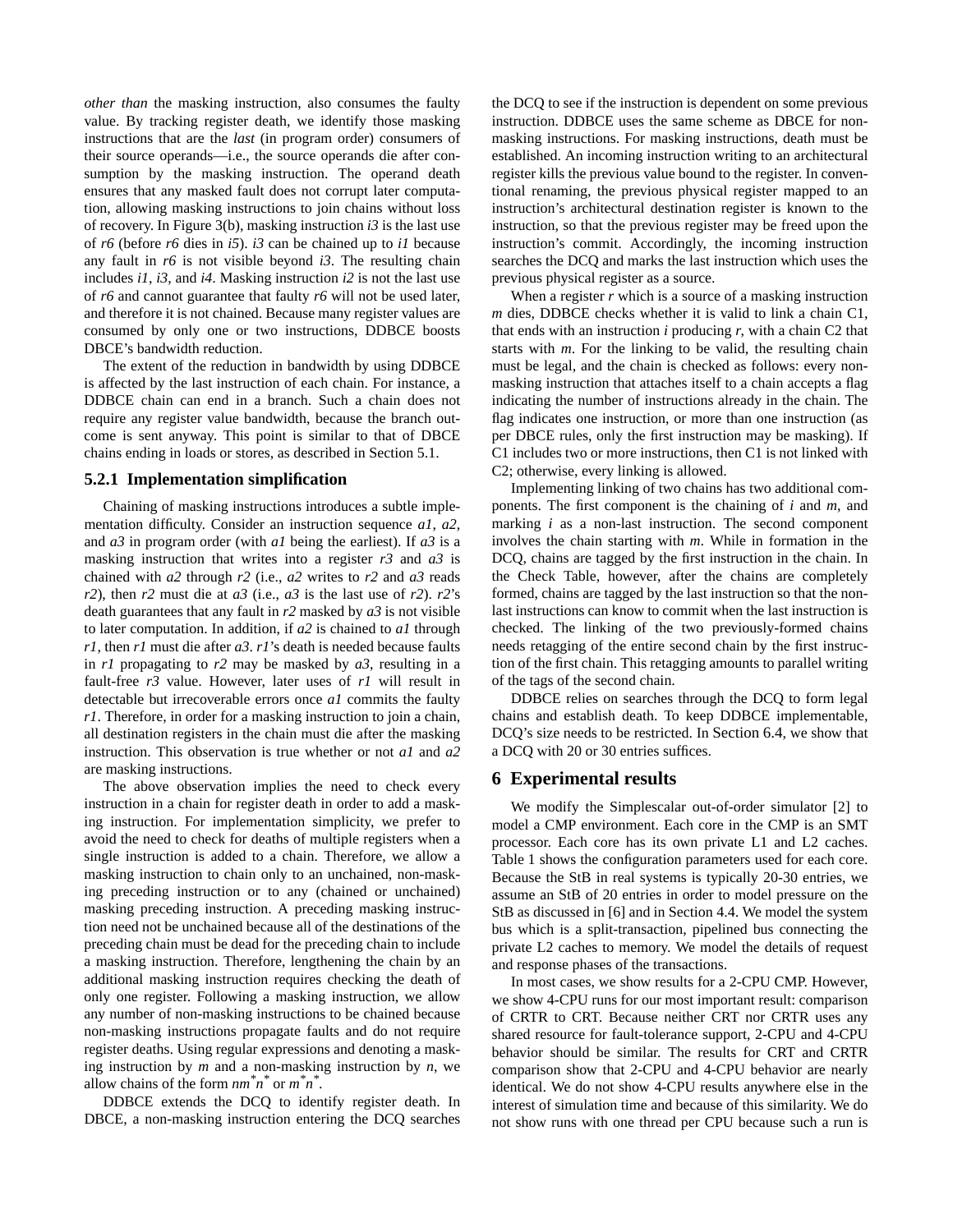*other than* the masking instruction, also consumes the faulty value. By tracking register death, we identify those masking instructions that are the *last* (in program order) consumers of their source operands—i.e., the source operands die after consumption by the masking instruction. The operand death ensures that any masked fault does not corrupt later computation, allowing masking instructions to join chains without loss of recovery. In Figure  $3(b)$ , masking instruction *i*3 is the last use of *r6* (before *r6* dies in *i5*). *i3* can be chained up to *i1* because any fault in *r6* is not visible beyond *i3*. The resulting chain includes *i1*, *i3*, and *i4*. Masking instruction *i2* is not the last use of *r6* and cannot guarantee that faulty *r6* will not be used later, and therefore it is not chained. Because many register values are consumed by only one or two instructions, DDBCE boosts DBCE's bandwidth reduction.

The extent of the reduction in bandwidth by using DDBCE is affected by the last instruction of each chain. For instance, a DDBCE chain can end in a branch. Such a chain does not require any register value bandwidth, because the branch outcome is sent anyway. This point is similar to that of DBCE chains ending in loads or stores, as described in [Section 5.1.](#page-5-2)

#### **5.2.1 Implementation simplification**

Chaining of masking instructions introduces a subtle implementation difficulty. Consider an instruction sequence *a1*, *a2*, and *a3* in program order (with *a1* being the earliest). If *a3* is a masking instruction that writes into a register *r3* and *a3* is chained with *a2* through *r2* (i.e., *a2* writes to *r2* and *a3* reads *r2*), then *r2* must die at *a3* (i.e.,  $a3$  is the last use of *r2*). *r2*'s death guarantees that any fault in *r2* masked by *a3* is not visible to later computation. In addition, if *a2* is chained to *a1* through *r1*, then *r1* must die after *a3*. *r1*'s death is needed because faults in *r1* propagating to *r2* may be masked by *a3*, resulting in a fault-free *r3* value. However, later uses of *r1* will result in detectable but irrecoverable errors once *a1* commits the faulty *r1*. Therefore, in order for a masking instruction to join a chain, all destination registers in the chain must die after the masking instruction. This observation is true whether or not *a1* and *a2* are masking instructions.

The above observation implies the need to check every instruction in a chain for register death in order to add a masking instruction. For implementation simplicity, we prefer to avoid the need to check for deaths of multiple registers when a single instruction is added to a chain. Therefore, we allow a masking instruction to chain only to an unchained, non-masking preceding instruction or to any (chained or unchained) masking preceding instruction. A preceding masking instruction need not be unchained because all of the destinations of the preceding chain must be dead for the preceding chain to include a masking instruction. Therefore, lengthening the chain by an additional masking instruction requires checking the death of only one register. Following a masking instruction, we allow any number of non-masking instructions to be chained because non-masking instructions propagate faults and do not require register deaths. Using regular expressions and denoting a masking instruction by *m* and a non-masking instruction by *n*, we allow chains of the form  $nm^*n^*$  or  $m^*n^*$ .

DDBCE extends the DCQ to identify register death. In DBCE, a non-masking instruction entering the DCQ searches the DCQ to see if the instruction is dependent on some previous instruction. DDBCE uses the same scheme as DBCE for nonmasking instructions. For masking instructions, death must be established. An incoming instruction writing to an architectural register kills the previous value bound to the register. In conventional renaming, the previous physical register mapped to an instruction's architectural destination register is known to the instruction, so that the previous register may be freed upon the instruction's commit. Accordingly, the incoming instruction searches the DCQ and marks the last instruction which uses the previous physical register as a source.

When a register *r* which is a source of a masking instruction *m* dies, DDBCE checks whether it is valid to link a chain C1, that ends with an instruction *i* producing *r*, with a chain C2 that starts with *m*. For the linking to be valid, the resulting chain must be legal, and the chain is checked as follows: every nonmasking instruction that attaches itself to a chain accepts a flag indicating the number of instructions already in the chain. The flag indicates one instruction, or more than one instruction (as per DBCE rules, only the first instruction may be masking). If C1 includes two or more instructions, then C1 is not linked with C2; otherwise, every linking is allowed.

Implementing linking of two chains has two additional components. The first component is the chaining of *i* and *m*, and marking *i* as a non-last instruction. The second component involves the chain starting with *m*. While in formation in the DCQ, chains are tagged by the first instruction in the chain. In the Check Table, however, after the chains are completely formed, chains are tagged by the last instruction so that the nonlast instructions can know to commit when the last instruction is checked. The linking of the two previously-formed chains needs retagging of the entire second chain by the first instruction of the first chain. This retagging amounts to parallel writing of the tags of the second chain.

DDBCE relies on searches through the DCQ to form legal chains and establish death. To keep DDBCE implementable, DCQ's size needs to be restricted. In [Section 6.4](#page-10-0), we show that a DCQ with 20 or 30 entries suffices.

## <span id="page-7-0"></span>**6 Experimental results**

We modify the Simplescalar out-of-order simulator [2] to model a CMP environment. Each core in the CMP is an SMT processor. Each core has its own private L1 and L2 caches. [Table 1](#page-8-1) shows the configuration parameters used for each core. Because the StB in real systems is typically 20-30 entries, we assume an StB of 20 entries in order to model pressure on the StB as discussed in [6] and in [Section 4.4](#page-5-3). We model the system bus which is a split-transaction, pipelined bus connecting the private L2 caches to memory. We model the details of request and response phases of the transactions.

In most cases, we show results for a 2-CPU CMP. However, we show 4-CPU runs for our most important result: comparison of CRTR to CRT. Because neither CRT nor CRTR uses any shared resource for fault-tolerance support, 2-CPU and 4-CPU behavior should be similar. The results for CRT and CRTR comparison show that 2-CPU and 4-CPU behavior are nearly identical. We do not show 4-CPU results anywhere else in the interest of simulation time and because of this similarity. We do not show runs with one thread per CPU because such a run is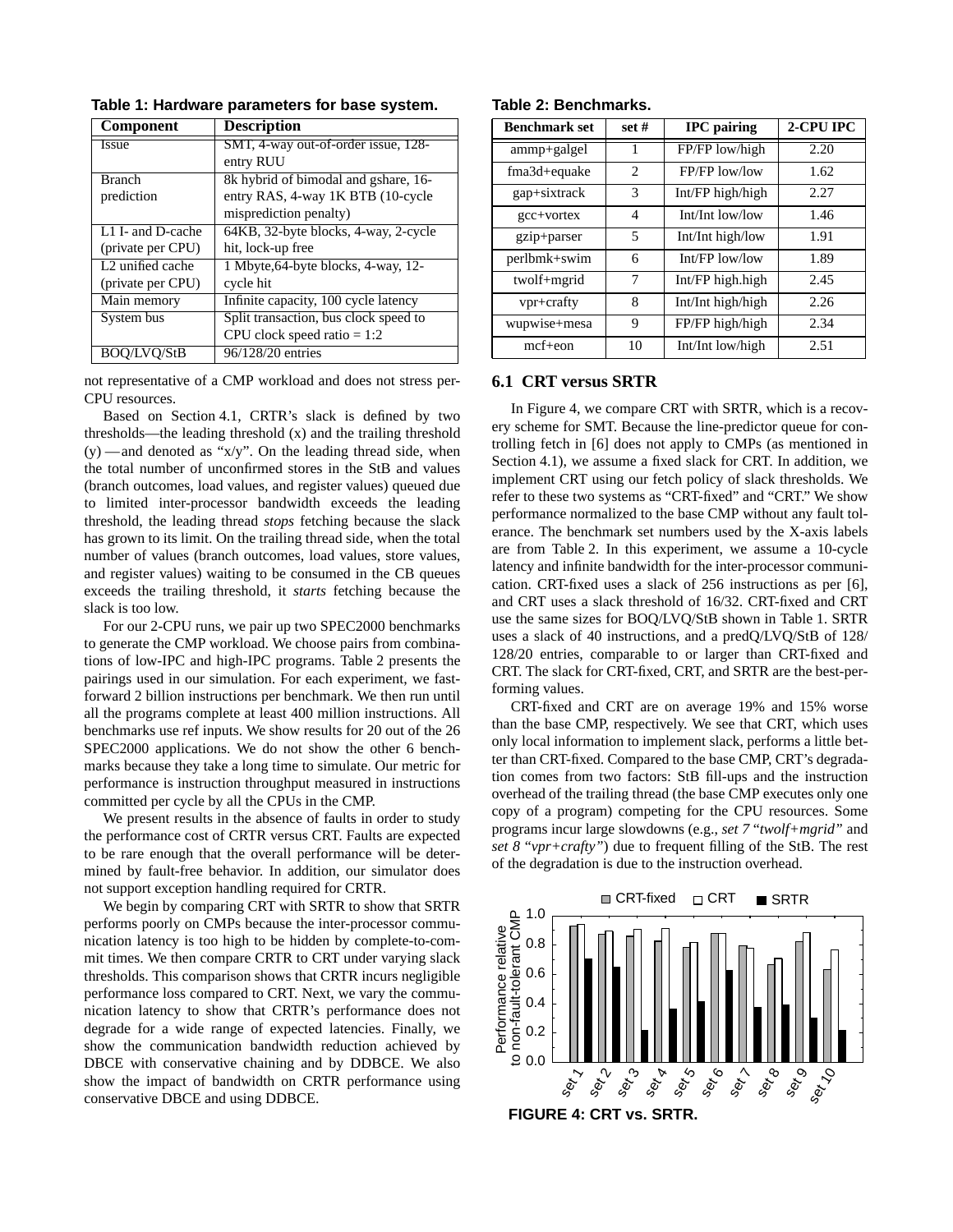<span id="page-8-1"></span>**Table 1: Hardware parameters for base system.**

| <b>Component</b>             | <b>Description</b>                    |  |  |  |
|------------------------------|---------------------------------------|--|--|--|
| <b>Issue</b>                 | SMT, 4-way out-of-order issue, 128-   |  |  |  |
|                              | entry RUU                             |  |  |  |
| <b>Branch</b>                | 8k hybrid of bimodal and gshare, 16-  |  |  |  |
| prediction                   | entry RAS, 4-way 1K BTB (10-cycle     |  |  |  |
|                              | misprediction penalty)                |  |  |  |
| $L1$ I- and D-cache          | 64KB, 32-byte blocks, 4-way, 2-cycle  |  |  |  |
| (private per CPU)            | hit, lock-up free                     |  |  |  |
| L <sub>2</sub> unified cache | 1 Mbyte, 64-byte blocks, 4-way, 12-   |  |  |  |
| (private per CPU)            | cycle hit                             |  |  |  |
| Main memory                  | Infinite capacity, 100 cycle latency  |  |  |  |
| System bus                   | Split transaction, bus clock speed to |  |  |  |
|                              | CPU clock speed ratio $= 1:2$         |  |  |  |
| 'StB<br>BOO.                 | 96/128/20 entries                     |  |  |  |

not representative of a CMP workload and does not stress per-CPU resources.

Based on [Section 4.1,](#page-3-1) CRTR's slack is defined by two thresholds—the leading threshold (x) and the trailing threshold  $(y)$  —and denoted as "x/y". On the leading thread side, when the total number of unconfirmed stores in the StB and values (branch outcomes, load values, and register values) queued due to limited inter-processor bandwidth exceeds the leading threshold, the leading thread *stops* fetching because the slack has grown to its limit. On the trailing thread side, when the total number of values (branch outcomes, load values, store values, and register values) waiting to be consumed in the CB queues exceeds the trailing threshold, it *starts* fetching because the slack is too low.

For our 2-CPU runs, we pair up two SPEC2000 benchmarks to generate the CMP workload. We choose pairs from combinations of low-IPC and high-IPC programs. [Table 2](#page-8-2) presents the pairings used in our simulation. For each experiment, we fastforward 2 billion instructions per benchmark. We then run until all the programs complete at least 400 million instructions. All benchmarks use ref inputs. We show results for 20 out of the 26 SPEC2000 applications. We do not show the other 6 benchmarks because they take a long time to simulate. Our metric for performance is instruction throughput measured in instructions committed per cycle by all the CPUs in the CMP.

We present results in the absence of faults in order to study the performance cost of CRTR versus CRT. Faults are expected to be rare enough that the overall performance will be determined by fault-free behavior. In addition, our simulator does not support exception handling required for CRTR.

We begin by comparing CRT with SRTR to show that SRTR performs poorly on CMPs because the inter-processor communication latency is too high to be hidden by complete-to-commit times. We then compare CRTR to CRT under varying slack thresholds. This comparison shows that CRTR incurs negligible performance loss compared to CRT. Next, we vary the communication latency to show that CRTR's performance does not degrade for a wide range of expected latencies. Finally, we show the communication bandwidth reduction achieved by DBCE with conservative chaining and by DDBCE. We also show the impact of bandwidth on CRTR performance using conservative DBCE and using DDBCE.

<span id="page-8-2"></span>**Table 2: Benchmarks.**

| <b>Benchmark set</b> | set # | <b>IPC</b> pairing | 2-CPU IPC |
|----------------------|-------|--------------------|-----------|
| ammp+galgel          | 1     | FP/FP low/high     | 2.20      |
| $fma3d+equake$       | 2     | FP/FP low/low      | 1.62      |
| gap+sixtrack         | 3     | Int/FP high/high   | 2.27      |
| $gcc+vortex$         | 4     | Int/Int low/low    | 1.46      |
| gzip+parser          | 5     | Int/Int high/low   | 1.91      |
| perlbmk+swim         | 6     | $Int/FP$ low/low   | 1.89      |
| twolf+mgrid          | 7     | Int/FP high.high   | 2.45      |
| vpr+crafty           | 8     | Int/Int high/high  | 2.26      |
| wupwise+mesa         | 9     | FP/FP high/high    | 2.34      |
| $mcf+eon$            | 10    | Int/Int low/high   | 2.51      |

#### <span id="page-8-0"></span>**6.1 CRT versus SRTR**

In [Figure 4,](#page-8-3) we compare CRT with SRTR, which is a recovery scheme for SMT. Because the line-predictor queue for controlling fetch in [6] does not apply to CMPs (as mentioned in [Section 4.1\)](#page-3-1), we assume a fixed slack for CRT. In addition, we implement CRT using our fetch policy of slack thresholds. We refer to these two systems as "CRT-fixed" and "CRT." We show performance normalized to the base CMP without any fault tolerance. The benchmark set numbers used by the X-axis labels are from [Table 2.](#page-8-2) In this experiment, we assume a 10-cycle latency and infinite bandwidth for the inter-processor communication. CRT-fixed uses a slack of 256 instructions as per [6], and CRT uses a slack threshold of 16/32. CRT-fixed and CRT use the same sizes for BOQ/LVQ/StB shown in [Table 1.](#page-8-1) SRTR uses a slack of 40 instructions, and a predQ/LVQ/StB of 128/ 128/20 entries, comparable to or larger than CRT-fixed and CRT. The slack for CRT-fixed, CRT, and SRTR are the best-performing values.

CRT-fixed and CRT are on average 19% and 15% worse than the base CMP, respectively. We see that CRT, which uses only local information to implement slack, performs a little better than CRT-fixed. Compared to the base CMP, CRT's degradation comes from two factors: StB fill-ups and the instruction overhead of the trailing thread (the base CMP executes only one copy of a program) competing for the CPU resources. Some programs incur large slowdowns (e.g., *set 7* "*twolf+mgrid"* and *set 8* "*vpr+crafty"*) due to frequent filling of the StB. The rest of the degradation is due to the instruction overhead.

<span id="page-8-3"></span>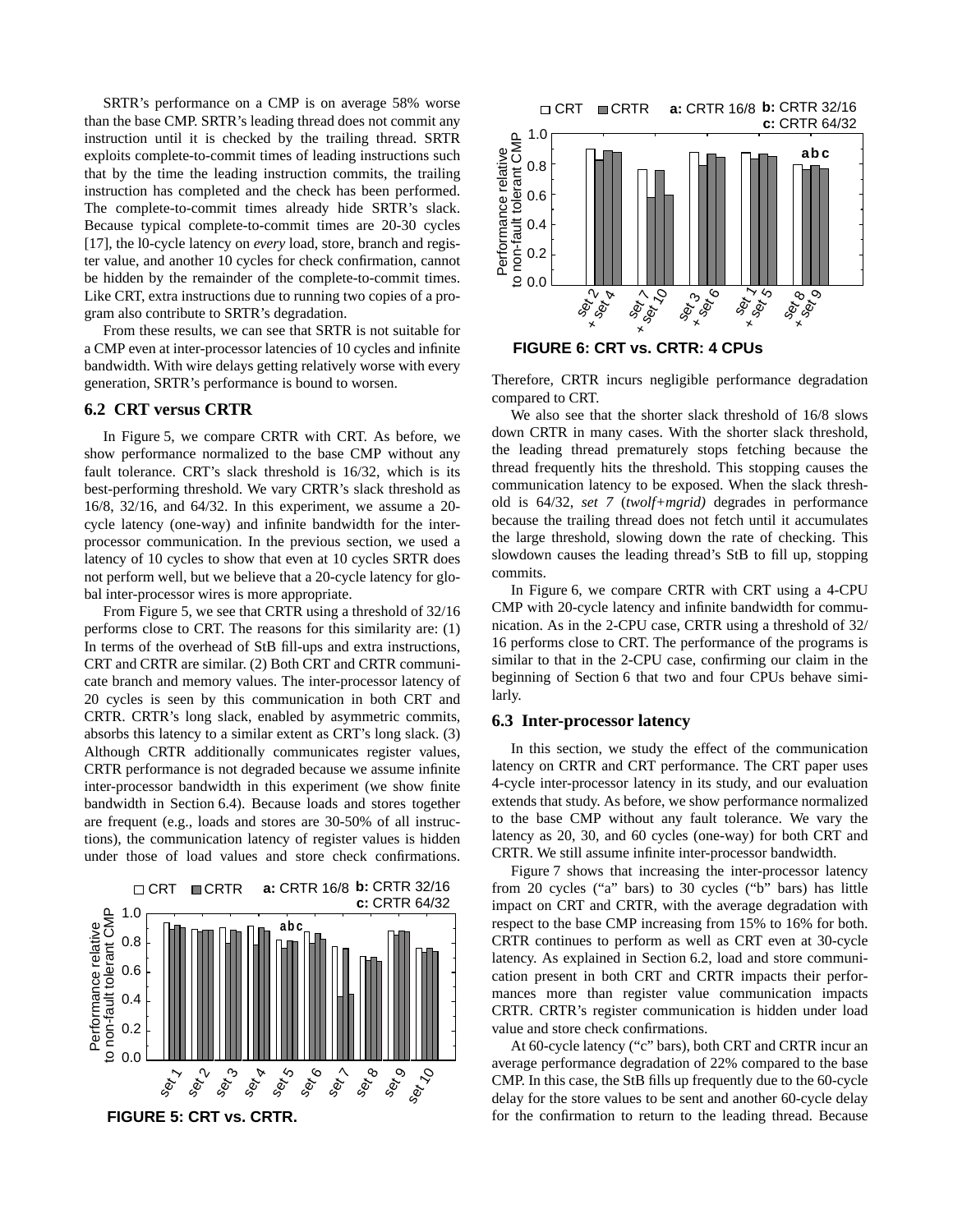SRTR's performance on a CMP is on average 58% worse than the base CMP. SRTR's leading thread does not commit any instruction until it is checked by the trailing thread. SRTR exploits complete-to-commit times of leading instructions such that by the time the leading instruction commits, the trailing instruction has completed and the check has been performed. The complete-to-commit times already hide SRTR's slack. Because typical complete-to-commit times are 20-30 cycles [17], the l0-cycle latency on *every* load, store, branch and register value, and another 10 cycles for check confirmation, cannot be hidden by the remainder of the complete-to-commit times. Like CRT, extra instructions due to running two copies of a program also contribute to SRTR's degradation.

From these results, we can see that SRTR is not suitable for a CMP even at inter-processor latencies of 10 cycles and infinite bandwidth. With wire delays getting relatively worse with every generation, SRTR's performance is bound to worsen.

#### <span id="page-9-2"></span>**6.2 CRT versus CRTR**

In [Figure 5](#page-9-0), we compare CRTR with CRT. As before, we show performance normalized to the base CMP without any fault tolerance. CRT's slack threshold is 16/32, which is its best-performing threshold. We vary CRTR's slack threshold as 16/8, 32/16, and 64/32. In this experiment, we assume a 20 cycle latency (one-way) and infinite bandwidth for the interprocessor communication. In the previous section, we used a latency of 10 cycles to show that even at 10 cycles SRTR does not perform well, but we believe that a 20-cycle latency for global inter-processor wires is more appropriate.

From [Figure 5](#page-9-0), we see that CRTR using a threshold of 32/16 performs close to CRT. The reasons for this similarity are: (1) In terms of the overhead of StB fill-ups and extra instructions, CRT and CRTR are similar. (2) Both CRT and CRTR communicate branch and memory values. The inter-processor latency of 20 cycles is seen by this communication in both CRT and CRTR. CRTR's long slack, enabled by asymmetric commits, absorbs this latency to a similar extent as CRT's long slack. (3) Although CRTR additionally communicates register values, CRTR performance is not degraded because we assume infinite inter-processor bandwidth in this experiment (we show finite bandwidth in [Section 6.4](#page-10-0)). Because loads and stores together are frequent (e.g., loads and stores are 30-50% of all instructions), the communication latency of register values is hidden under those of load values and store check confirmations.





<span id="page-9-1"></span>

Therefore, CRTR incurs negligible performance degradation compared to CRT.

We also see that the shorter slack threshold of 16/8 slows down CRTR in many cases. With the shorter slack threshold, the leading thread prematurely stops fetching because the thread frequently hits the threshold. This stopping causes the communication latency to be exposed. When the slack threshold is 64/32, *set 7* (*twolf+mgrid)* degrades in performance because the trailing thread does not fetch until it accumulates the large threshold, slowing down the rate of checking. This slowdown causes the leading thread's StB to fill up, stopping commits.

In [Figure 6,](#page-9-1) we compare CRTR with CRT using a 4-CPU CMP with 20-cycle latency and infinite bandwidth for communication. As in the 2-CPU case, CRTR using a threshold of 32/ 16 performs close to CRT. The performance of the programs is similar to that in the 2-CPU case, confirming our claim in the beginning of [Section 6](#page-7-0) that two and four CPUs behave similarly.

#### **6.3 Inter-processor latency**

In this section, we study the effect of the communication latency on CRTR and CRT performance. The CRT paper uses 4-cycle inter-processor latency in its study, and our evaluation extends that study. As before, we show performance normalized to the base CMP without any fault tolerance. We vary the latency as 20, 30, and 60 cycles (one-way) for both CRT and CRTR. We still assume infinite inter-processor bandwidth.

[Figure 7](#page-10-1) shows that increasing the inter-processor latency from 20 cycles ("a" bars) to 30 cycles ("b" bars) has little impact on CRT and CRTR, with the average degradation with respect to the base CMP increasing from 15% to 16% for both. CRTR continues to perform as well as CRT even at 30-cycle latency. As explained in [Section 6.2](#page-9-2), load and store communication present in both CRT and CRTR impacts their performances more than register value communication impacts CRTR. CRTR's register communication is hidden under load value and store check confirmations.

<span id="page-9-0"></span>At 60-cycle latency ("c" bars), both CRT and CRTR incur an average performance degradation of 22% compared to the base CMP. In this case, the StB fills up frequently due to the 60-cycle delay for the store values to be sent and another 60-cycle delay **FIGURE 5: CRT vs. CRTR.** for the confirmation to return to the leading thread. Because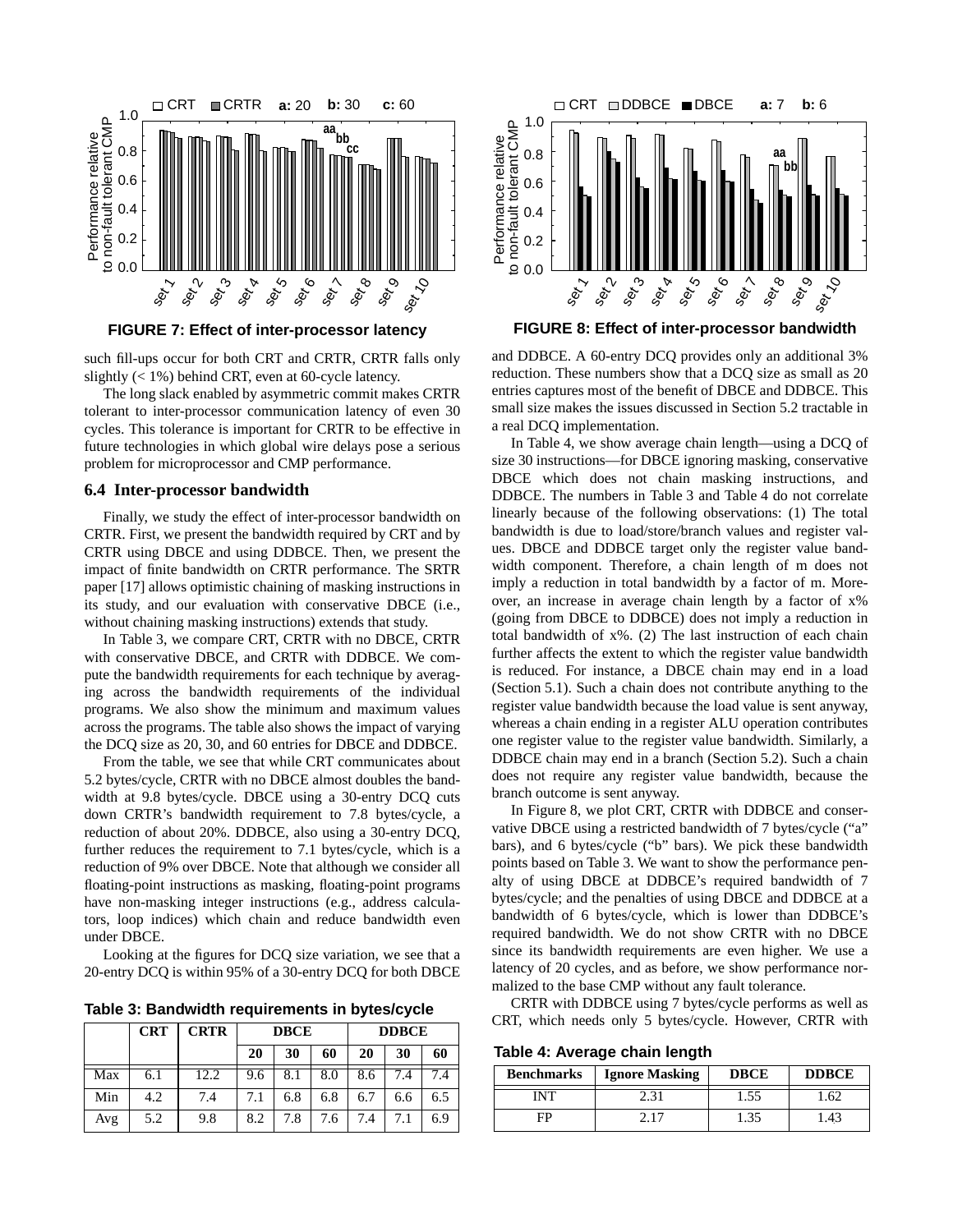

#### <span id="page-10-1"></span>**FIGURE 7: Effect of inter-processor latency**

such fill-ups occur for both CRT and CRTR, CRTR falls only slightly  $(< 1\%)$  behind CRT, even at 60-cycle latency.

The long slack enabled by asymmetric commit makes CRTR tolerant to inter-processor communication latency of even 30 cycles. This tolerance is important for CRTR to be effective in future technologies in which global wire delays pose a serious problem for microprocessor and CMP performance.

#### <span id="page-10-0"></span>**6.4 Inter-processor bandwidth**

Finally, we study the effect of inter-processor bandwidth on CRTR. First, we present the bandwidth required by CRT and by CRTR using DBCE and using DDBCE. Then, we present the impact of finite bandwidth on CRTR performance. The SRTR paper [17] allows optimistic chaining of masking instructions in its study, and our evaluation with conservative DBCE (i.e., without chaining masking instructions) extends that study.

In [Table 3](#page-10-2), we compare CRT, CRTR with no DBCE, CRTR with conservative DBCE, and CRTR with DDBCE. We compute the bandwidth requirements for each technique by averaging across the bandwidth requirements of the individual programs. We also show the minimum and maximum values across the programs. The table also shows the impact of varying the DCQ size as 20, 30, and 60 entries for DBCE and DDBCE.

From the table, we see that while CRT communicates about 5.2 bytes/cycle, CRTR with no DBCE almost doubles the bandwidth at 9.8 bytes/cycle. DBCE using a 30-entry DCQ cuts down CRTR's bandwidth requirement to 7.8 bytes/cycle, a reduction of about 20%. DDBCE, also using a 30-entry DCQ, further reduces the requirement to 7.1 bytes/cycle, which is a reduction of 9% over DBCE. Note that although we consider all floating-point instructions as masking, floating-point programs have non-masking integer instructions (e.g., address calculators, loop indices) which chain and reduce bandwidth even under DBCE.

Looking at the figures for DCQ size variation, we see that a 20-entry DCQ is within 95% of a 30-entry DCQ for both DBCE

<span id="page-10-2"></span>**Table 3: Bandwidth requirements in bytes/cycle**

|     | <b>CRT</b> | <b>CRTR</b> | <b>DBCE</b> |     | <b>DDBCE</b> |     |     |     |
|-----|------------|-------------|-------------|-----|--------------|-----|-----|-----|
|     |            |             | 20          | 30  | 60           | 20  | 30  | 60  |
| Max | 6.1        | 12.2        | 9.6         | 8.1 | 8.0          | 8.6 | 7.4 |     |
| Min | 4.2        | 7.4         | 7.1         | 6.8 | 6.8          | 6.7 | 6.6 | 6.5 |
| Avg | 5.2        | 9.8         | 8.2         | 7.8 | 7.6          | 7.4 | 7.1 | 6.9 |



<span id="page-10-4"></span>**FIGURE 8: Effect of inter-processor bandwidth**

and DDBCE. A 60-entry DCQ provides only an additional 3% reduction. These numbers show that a DCQ size as small as 20 entries captures most of the benefit of DBCE and DDBCE. This small size makes the issues discussed in [Section 5.2](#page-6-0) tractable in a real DCQ implementation.

In [Table 4,](#page-10-3) we show average chain length—using a DCQ of size 30 instructions—for DBCE ignoring masking, conservative DBCE which does not chain masking instructions, and DDBCE. The numbers in [Table 3](#page-10-2) and [Table 4](#page-10-3) do not correlate linearly because of the following observations: (1) The total bandwidth is due to load/store/branch values and register values. DBCE and DDBCE target only the register value bandwidth component. Therefore, a chain length of m does not imply a reduction in total bandwidth by a factor of m. Moreover, an increase in average chain length by a factor of x% (going from DBCE to DDBCE) does not imply a reduction in total bandwidth of x%. (2) The last instruction of each chain further affects the extent to which the register value bandwidth is reduced. For instance, a DBCE chain may end in a load [\(Section 5.1\)](#page-5-2). Such a chain does not contribute anything to the register value bandwidth because the load value is sent anyway, whereas a chain ending in a register ALU operation contributes one register value to the register value bandwidth. Similarly, a DDBCE chain may end in a branch ([Section 5.2\)](#page-6-0). Such a chain does not require any register value bandwidth, because the branch outcome is sent anyway.

In [Figure 8](#page-10-4), we plot CRT, CRTR with DDBCE and conservative DBCE using a restricted bandwidth of 7 bytes/cycle ("a" bars), and 6 bytes/cycle ("b" bars). We pick these bandwidth points based on [Table 3](#page-10-2). We want to show the performance penalty of using DBCE at DDBCE's required bandwidth of 7 bytes/cycle; and the penalties of using DBCE and DDBCE at a bandwidth of 6 bytes/cycle, which is lower than DDBCE's required bandwidth. We do not show CRTR with no DBCE since its bandwidth requirements are even higher. We use a latency of 20 cycles, and as before, we show performance normalized to the base CMP without any fault tolerance.

CRTR with DDBCE using 7 bytes/cycle performs as well as CRT, which needs only 5 bytes/cycle. However, CRTR with

<span id="page-10-3"></span>**Table 4: Average chain length**

| <b>Benchmarks</b> | <b>Ignore Masking</b> | <b>DBCE</b> | <b>DDBCE</b> |  |
|-------------------|-----------------------|-------------|--------------|--|
|                   |                       |             |              |  |
| FP                |                       | 1.35        | . 43         |  |